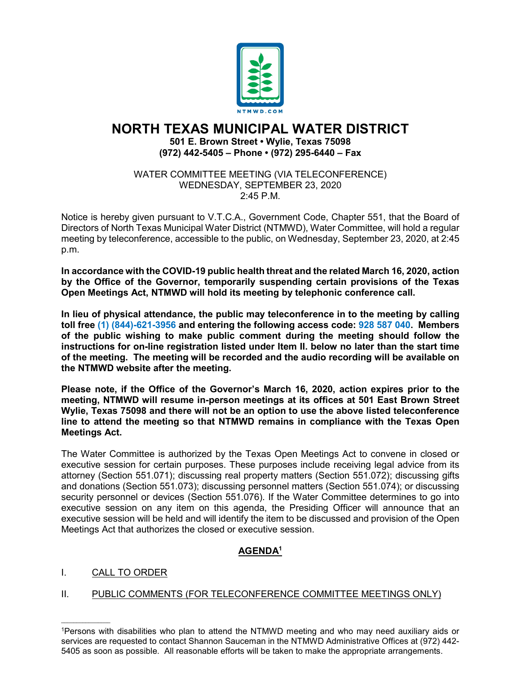

# **NORTH TEXAS MUNICIPAL WATER DISTRICT 501 E. Brown Street • Wylie, Texas 75098 (972) 442-5405 – Phone • (972) 295-6440 – Fax**

WATER COMMITTEE MEETING (VIA TELECONFERENCE) WEDNESDAY, SEPTEMBER 23, 2020 2:45 P.M.

Notice is hereby given pursuant to V.T.C.A., Government Code, Chapter 551, that the Board of Directors of North Texas Municipal Water District (NTMWD), Water Committee, will hold a regular meeting by teleconference, accessible to the public, on Wednesday, September 23, 2020, at 2:45 p.m.

**In accordance with the COVID-19 public health threat and the related March 16, 2020, action by the Office of the Governor, temporarily suspending certain provisions of the Texas Open Meetings Act, NTMWD will hold its meeting by telephonic conference call.** 

**In lieu of physical attendance, the public may teleconference in to the meeting by calling toll free (1) (844)-621-3956 and entering the following access code: 928 587 040. Members of the public wishing to make public comment during the meeting should follow the instructions for on-line registration listed under Item II. below no later than the start time of the meeting. The meeting will be recorded and the audio recording will be available on the NTMWD website after the meeting.**

**Please note, if the Office of the Governor's March 16, 2020, action expires prior to the meeting, NTMWD will resume in-person meetings at its offices at 501 East Brown Street Wylie, Texas 75098 and there will not be an option to use the above listed teleconference line to attend the meeting so that NTMWD remains in compliance with the Texas Open Meetings Act.**

The Water Committee is authorized by the Texas Open Meetings Act to convene in closed or executive session for certain purposes. These purposes include receiving legal advice from its attorney (Section 551.071); discussing real property matters (Section 551.072); discussing gifts and donations (Section 551.073); discussing personnel matters (Section 551.074); or discussing security personnel or devices (Section 551.076). If the Water Committee determines to go into executive session on any item on this agenda, the Presiding Officer will announce that an executive session will be held and will identify the item to be discussed and provision of the Open Meetings Act that authorizes the closed or executive session.

## **AGENDA1**

### I. CALL TO ORDER

 $\mathcal{L}_\text{max}$  and  $\mathcal{L}_\text{max}$  and  $\mathcal{L}_\text{max}$ 

### II. PUBLIC COMMENTS (FOR TELECONFERENCE COMMITTEE MEETINGS ONLY)

<sup>1</sup>Persons with disabilities who plan to attend the NTMWD meeting and who may need auxiliary aids or services are requested to contact Shannon Sauceman in the NTMWD Administrative Offices at (972) 442- 5405 as soon as possible. All reasonable efforts will be taken to make the appropriate arrangements.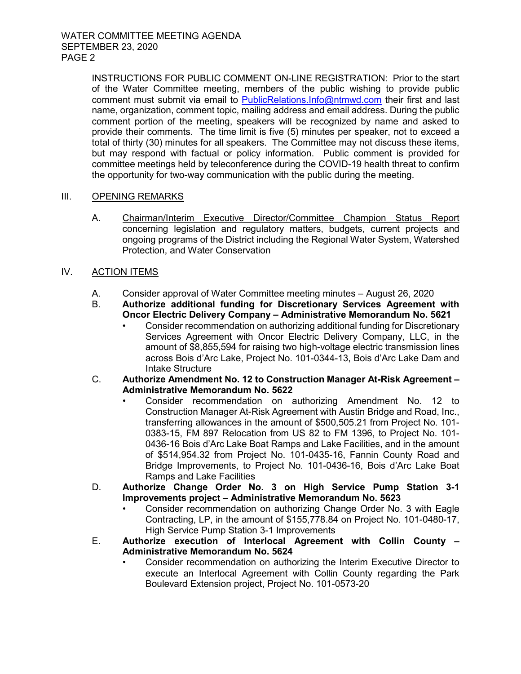INSTRUCTIONS FOR PUBLIC COMMENT ON-LINE REGISTRATION: Prior to the start of the Water Committee meeting, members of the public wishing to provide public comment must submit via email to [PublicRelations.Info@ntmwd.com](mailto:PublicRelations.Info@ntmwd.com) their first and last name, organization, comment topic, mailing address and email address. During the public comment portion of the meeting, speakers will be recognized by name and asked to provide their comments. The time limit is five (5) minutes per speaker, not to exceed a total of thirty (30) minutes for all speakers. The Committee may not discuss these items, but may respond with factual or policy information. Public comment is provided for committee meetings held by teleconference during the COVID-19 health threat to confirm the opportunity for two-way communication with the public during the meeting.

#### III. OPENING REMARKS

- A. Chairman/Interim Executive Director/Committee Champion Status Report concerning legislation and regulatory matters, budgets, current projects and ongoing programs of the District including the Regional Water System, Watershed Protection, and Water Conservation
- IV. ACTION ITEMS
	- A. Consider approval of Water Committee meeting minutes August 26, 2020
	- B. **Authorize additional funding for Discretionary Services Agreement with Oncor Electric Delivery Company – Administrative Memorandum No. 5621**
		- Consider recommendation on authorizing additional funding for Discretionary Services Agreement with Oncor Electric Delivery Company, LLC, in the amount of \$8,855,594 for raising two high-voltage electric transmission lines across Bois d'Arc Lake, Project No. 101-0344-13, Bois d'Arc Lake Dam and Intake Structure
	- C. **Authorize Amendment No. 12 to Construction Manager At-Risk Agreement – Administrative Memorandum No. 5622**
		- Consider recommendation on authorizing Amendment No. 12 to Construction Manager At-Risk Agreement with Austin Bridge and Road, Inc., transferring allowances in the amount of \$500,505.21 from Project No. 101- 0383-15, FM 897 Relocation from US 82 to FM 1396, to Project No. 101- 0436-16 Bois d'Arc Lake Boat Ramps and Lake Facilities, and in the amount of \$514,954.32 from Project No. 101-0435-16, Fannin County Road and Bridge Improvements, to Project No. 101-0436-16, Bois d'Arc Lake Boat Ramps and Lake Facilities
	- D. **Authorize Change Order No. 3 on High Service Pump Station 3-1 Improvements project – Administrative Memorandum No. 5623**
		- Consider recommendation on authorizing Change Order No. 3 with Eagle Contracting, LP, in the amount of \$155,778.84 on Project No. 101-0480-17, High Service Pump Station 3-1 Improvements
	- E. **Authorize execution of Interlocal Agreement with Collin County – Administrative Memorandum No. 5624**
		- Consider recommendation on authorizing the Interim Executive Director to execute an Interlocal Agreement with Collin County regarding the Park Boulevard Extension project, Project No. 101-0573-20